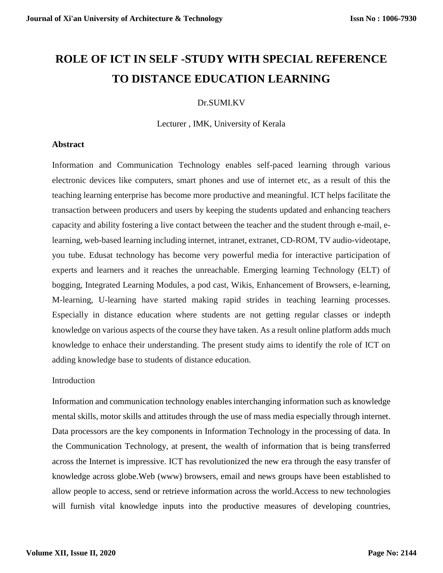# **ROLE OF ICT IN SELF -STUDY WITH SPECIAL REFERENCE TO DISTANCE EDUCATION LEARNING**

## Dr.SUMI.KV

Lecturer , IMK, University of Kerala

#### **Abstract**

Information and Communication Technology enables self-paced learning through various electronic devices like computers, smart phones and use of internet etc, as a result of this the teaching learning enterprise has become more productive and meaningful. ICT helps facilitate the transaction between producers and users by keeping the students updated and enhancing teachers capacity and ability fostering a live contact between the teacher and the student through e-mail, elearning, web-based learning including internet, intranet, extranet, CD-ROM, TV audio-videotape, you tube. Edusat technology has become very powerful media for interactive participation of experts and learners and it reaches the unreachable. Emerging learning Technology (ELT) of bogging, Integrated Learning Modules, a pod cast, Wikis, Enhancement of Browsers, e-learning, M-learning, U-learning have started making rapid strides in teaching learning processes. Especially in distance education where students are not getting regular classes or indepth knowledge on various aspects of the course they have taken. As a result online platform adds much knowledge to enhace their understanding. The present study aims to identify the role of ICT on adding knowledge base to students of distance education.

## **Introduction**

Information and communication technology enablesinterchanging information such as knowledge mental skills, motor skills and attitudes through the use of mass media especially through internet. Data processors are the key components in Information Technology in the processing of data. In the Communication Technology, at present, the wealth of information that is being transferred across the Internet is impressive. ICT has revolutionized the new era through the easy transfer of knowledge across globe.Web (www) browsers, email and news groups have been established to allow people to access, send or retrieve information across the world.Access to new technologies will furnish vital knowledge inputs into the productive measures of developing countries,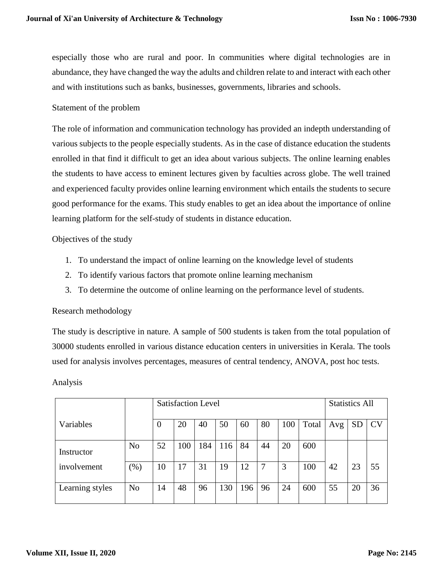especially those who are rural and poor. In communities where digital technologies are in abundance, they have changed the way the adults and children relate to and interact with each other and with institutions such as banks, businesses, governments, libraries and schools.

#### Statement of the problem

The role of information and communication technology has provided an indepth understanding of various subjects to the people especially students. As in the case of distance education the students enrolled in that find it difficult to get an idea about various subjects. The online learning enables the students to have access to eminent lectures given by faculties across globe. The well trained and experienced faculty provides online learning environment which entails the students to secure good performance for the exams. This study enables to get an idea about the importance of online learning platform for the self-study of students in distance education.

Objectives of the study

- 1. To understand the impact of online learning on the knowledge level of students
- 2. To identify various factors that promote online learning mechanism
- 3. To determine the outcome of online learning on the performance level of students.

#### Research methodology

The study is descriptive in nature. A sample of 500 students is taken from the total population of 30000 students enrolled in various distance education centers in universities in Kerala. The tools used for analysis involves percentages, measures of central tendency, ANOVA, post hoc tests.

Analysis

|                 |                | <b>Satisfaction Level</b> |     |     |     |     |    |     | <b>Statistics All</b> |     |           |           |
|-----------------|----------------|---------------------------|-----|-----|-----|-----|----|-----|-----------------------|-----|-----------|-----------|
| Variables       |                | $\theta$                  | 20  | 40  | 50  | 60  | 80 | 100 | Total                 | Avg | <b>SD</b> | <b>CV</b> |
| Instructor      | N <sub>o</sub> | 52                        | 100 | 184 | 116 | 84  | 44 | 20  | 600                   |     |           |           |
| involvement     | $(\%)$         | 10                        | 17  | 31  | 19  | 12  | -7 | 3   | 100                   | 42  | 23        | 55        |
| Learning styles | N <sub>o</sub> | 14                        | 48  | 96  | 130 | 196 | 96 | 24  | 600                   | 55  | 20        | 36        |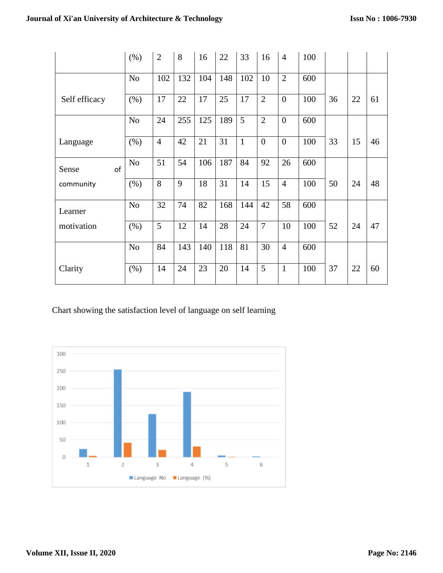|               | (% )           | $\overline{2}$ | 8   | 16  | 22  | 33           | 16             | $\overline{4}$ | 100 |    |    |    |
|---------------|----------------|----------------|-----|-----|-----|--------------|----------------|----------------|-----|----|----|----|
|               | N <sub>o</sub> | 102            | 132 | 104 | 148 | 102          | 10             | $\overline{2}$ | 600 |    |    |    |
| Self efficacy | (% )           | 17             | 22  | 17  | 25  | 17           | $\overline{2}$ | $\overline{0}$ | 100 | 36 | 22 | 61 |
|               | N <sub>o</sub> | 24             | 255 | 125 | 189 | 5            | $\overline{2}$ | $\overline{0}$ | 600 |    |    |    |
| Language      | (% )           | $\overline{4}$ | 42  | 21  | 31  | $\mathbf{1}$ | $\overline{0}$ | $\overline{0}$ | 100 | 33 | 15 | 46 |
| of<br>Sense   | N <sub>o</sub> | 51             | 54  | 106 | 187 | 84           | 92             | 26             | 600 |    |    |    |
| community     | (% )           | 8              | 9   | 18  | 31  | 14           | 15             | $\overline{4}$ | 100 | 50 | 24 | 48 |
| Learner       | N <sub>o</sub> | 32             | 74  | 82  | 168 | 144          | 42             | 58             | 600 |    |    |    |
| motivation    | (% )           | 5              | 12  | 14  | 28  | 24           | $\overline{7}$ | 10             | 100 | 52 | 24 | 47 |
|               | N <sub>o</sub> | 84             | 143 | 140 | 118 | 81           | 30             | $\overline{4}$ | 600 |    |    |    |
| Clarity       | (% )           | 14             | 24  | 23  | 20  | 14           | 5              | $\mathbf{1}$   | 100 | 37 | 22 | 60 |

Chart showing the satisfaction level of language on self learning

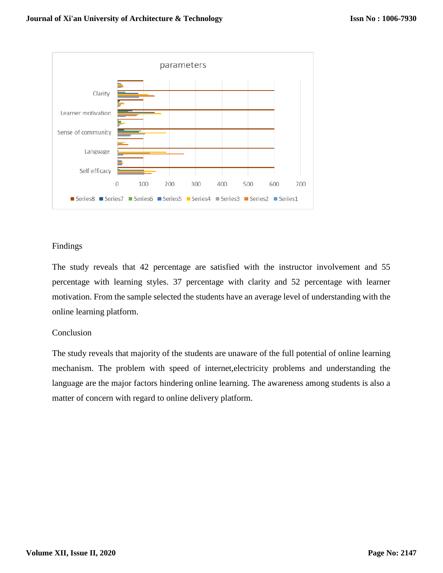

## Findings

The study reveals that 42 percentage are satisfied with the instructor involvement and 55 percentage with learning styles. 37 percentage with clarity and 52 percentage with learner motivation. From the sample selected the students have an average level of understanding with the online learning platform.

## **Conclusion**

The study reveals that majority of the students are unaware of the full potential of online learning mechanism. The problem with speed of internet,electricity problems and understanding the language are the major factors hindering online learning. The awareness among students is also a matter of concern with regard to online delivery platform.